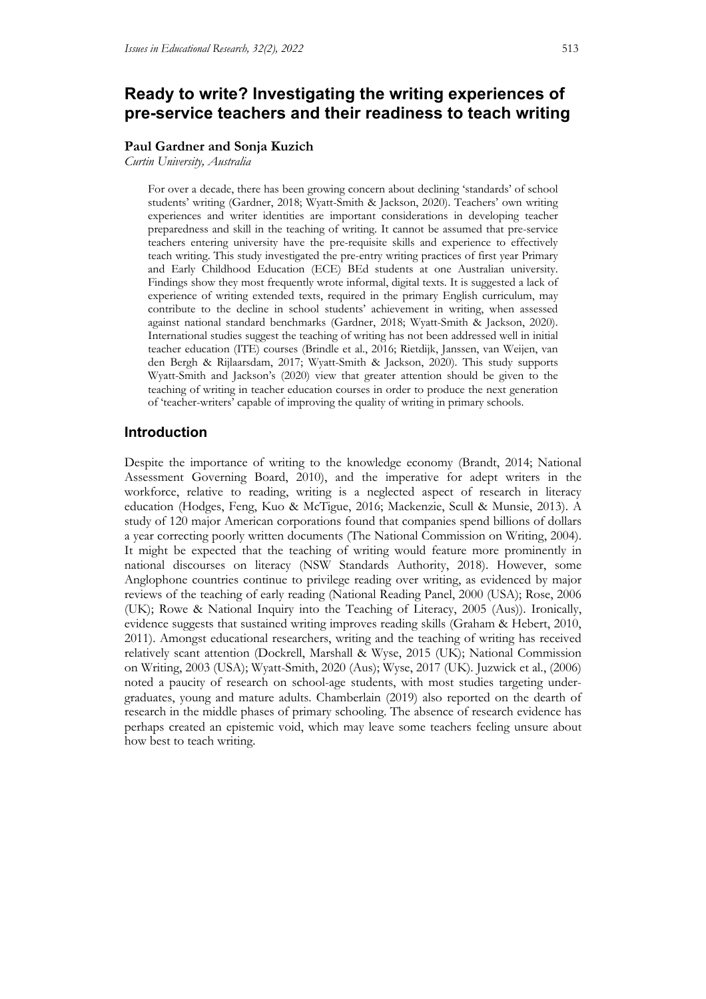# **Ready to write? Investigating the writing experiences of pre-service teachers and their readiness to teach writing**

#### **Paul Gardner and Sonja Kuzich**

*Curtin University, Australia*

For over a decade, there has been growing concern about declining 'standards' of school students' writing (Gardner, 2018; Wyatt-Smith & Jackson, 2020). Teachers' own writing experiences and writer identities are important considerations in developing teacher preparedness and skill in the teaching of writing. It cannot be assumed that pre-service teachers entering university have the pre-requisite skills and experience to effectively teach writing. This study investigated the pre-entry writing practices of first year Primary and Early Childhood Education (ECE) BEd students at one Australian university. Findings show they most frequently wrote informal, digital texts. It is suggested a lack of experience of writing extended texts, required in the primary English curriculum, may contribute to the decline in school students' achievement in writing, when assessed against national standard benchmarks (Gardner, 2018; Wyatt-Smith & Jackson, 2020). International studies suggest the teaching of writing has not been addressed well in initial teacher education (ITE) courses (Brindle et al., 2016; Rietdijk, Janssen, van Weijen, van den Bergh & Rijlaarsdam, 2017; Wyatt-Smith & Jackson, 2020). This study supports Wyatt-Smith and Jackson's (2020) view that greater attention should be given to the teaching of writing in teacher education courses in order to produce the next generation of 'teacher-writers' capable of improving the quality of writing in primary schools.

# **Introduction**

Despite the importance of writing to the knowledge economy (Brandt, 2014; National Assessment Governing Board, 2010), and the imperative for adept writers in the workforce, relative to reading, writing is a neglected aspect of research in literacy education (Hodges, Feng, Kuo & McTigue, 2016; Mackenzie, Scull & Munsie, 2013). A study of 120 major American corporations found that companies spend billions of dollars a year correcting poorly written documents (The National Commission on Writing, 2004). It might be expected that the teaching of writing would feature more prominently in national discourses on literacy (NSW Standards Authority, 2018). However, some Anglophone countries continue to privilege reading over writing, as evidenced by major reviews of the teaching of early reading (National Reading Panel, 2000 (USA); Rose, 2006 (UK); Rowe & National Inquiry into the Teaching of Literacy, 2005 (Aus)). Ironically, evidence suggests that sustained writing improves reading skills (Graham & Hebert, 2010, 2011). Amongst educational researchers, writing and the teaching of writing has received relatively scant attention (Dockrell, Marshall & Wyse, 2015 (UK); National Commission on Writing, 2003 (USA); Wyatt-Smith, 2020 (Aus); Wyse, 2017 (UK). Juzwick et al., (2006) noted a paucity of research on school-age students, with most studies targeting undergraduates, young and mature adults. Chamberlain (2019) also reported on the dearth of research in the middle phases of primary schooling. The absence of research evidence has perhaps created an epistemic void, which may leave some teachers feeling unsure about how best to teach writing.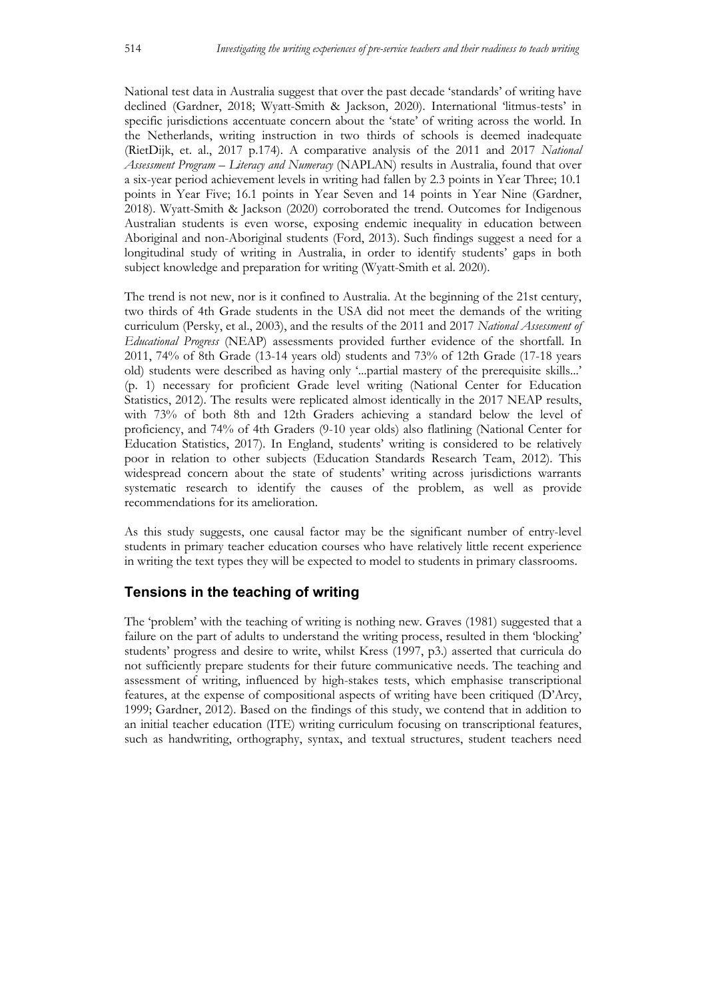National test data in Australia suggest that over the past decade 'standards' of writing have declined (Gardner, 2018; Wyatt-Smith & Jackson, 2020). International 'litmus-tests' in specific jurisdictions accentuate concern about the 'state' of writing across the world. In the Netherlands, writing instruction in two thirds of schools is deemed inadequate (RietDijk, et. al., 2017 p.174). A comparative analysis of the 2011 and 2017 *National Assessment Program – Literacy and Numeracy* (NAPLAN) results in Australia, found that over a six-year period achievement levels in writing had fallen by 2.3 points in Year Three; 10.1 points in Year Five; 16.1 points in Year Seven and 14 points in Year Nine (Gardner, 2018). Wyatt-Smith & Jackson (2020) corroborated the trend. Outcomes for Indigenous Australian students is even worse, exposing endemic inequality in education between Aboriginal and non-Aboriginal students (Ford, 2013). Such findings suggest a need for a longitudinal study of writing in Australia, in order to identify students' gaps in both subject knowledge and preparation for writing (Wyatt-Smith et al. 2020).

The trend is not new, nor is it confined to Australia. At the beginning of the 21st century, two thirds of 4th Grade students in the USA did not meet the demands of the writing curriculum (Persky, et al., 2003), and the results of the 2011 and 2017 *National Assessment of Educational Progress* (NEAP) assessments provided further evidence of the shortfall. In 2011, 74% of 8th Grade (13-14 years old) students and 73% of 12th Grade (17-18 years old) students were described as having only '...partial mastery of the prerequisite skills...' (p. 1) necessary for proficient Grade level writing (National Center for Education Statistics, 2012). The results were replicated almost identically in the 2017 NEAP results, with 73% of both 8th and 12th Graders achieving a standard below the level of proficiency, and 74% of 4th Graders (9-10 year olds) also flatlining (National Center for Education Statistics, 2017). In England, students' writing is considered to be relatively poor in relation to other subjects (Education Standards Research Team, 2012). This widespread concern about the state of students' writing across jurisdictions warrants systematic research to identify the causes of the problem, as well as provide recommendations for its amelioration.

As this study suggests, one causal factor may be the significant number of entry-level students in primary teacher education courses who have relatively little recent experience in writing the text types they will be expected to model to students in primary classrooms.

# **Tensions in the teaching of writing**

The 'problem' with the teaching of writing is nothing new. Graves (1981) suggested that a failure on the part of adults to understand the writing process, resulted in them 'blocking' students' progress and desire to write, whilst Kress (1997, p3.) asserted that curricula do not sufficiently prepare students for their future communicative needs. The teaching and assessment of writing, influenced by high-stakes tests, which emphasise transcriptional features, at the expense of compositional aspects of writing have been critiqued (D'Arcy, 1999; Gardner, 2012). Based on the findings of this study, we contend that in addition to an initial teacher education (ITE) writing curriculum focusing on transcriptional features, such as handwriting, orthography, syntax, and textual structures, student teachers need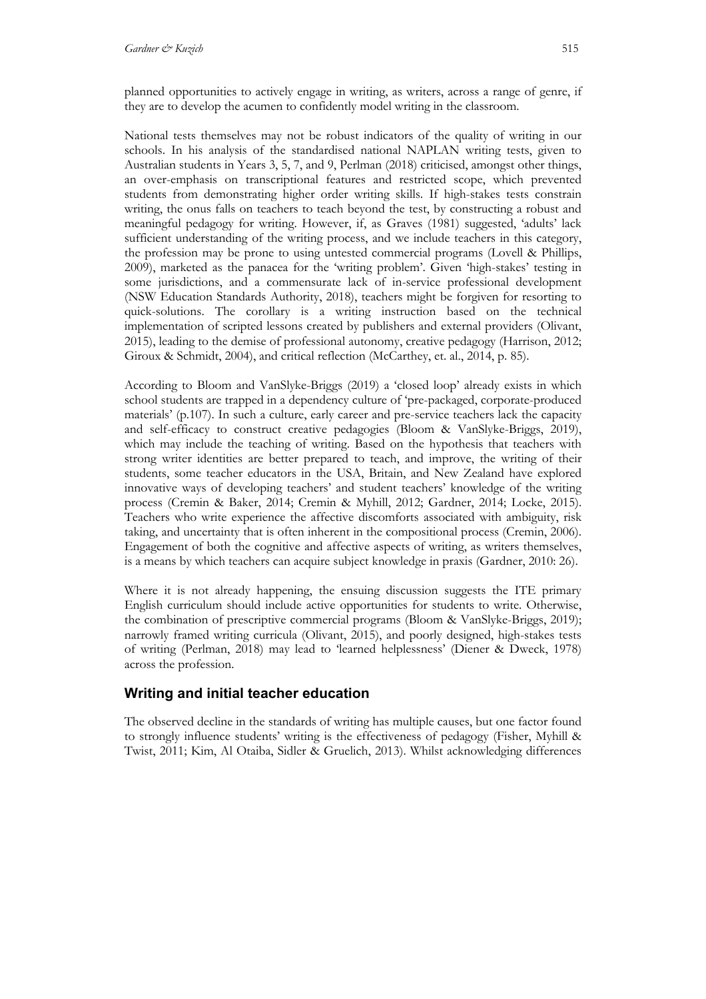planned opportunities to actively engage in writing, as writers, across a range of genre, if they are to develop the acumen to confidently model writing in the classroom.

National tests themselves may not be robust indicators of the quality of writing in our schools. In his analysis of the standardised national NAPLAN writing tests, given to Australian students in Years 3, 5, 7, and 9, Perlman (2018) criticised, amongst other things, an over-emphasis on transcriptional features and restricted scope, which prevented students from demonstrating higher order writing skills. If high-stakes tests constrain writing, the onus falls on teachers to teach beyond the test, by constructing a robust and meaningful pedagogy for writing. However, if, as Graves (1981) suggested, 'adults' lack sufficient understanding of the writing process, and we include teachers in this category, the profession may be prone to using untested commercial programs (Lovell & Phillips, 2009), marketed as the panacea for the 'writing problem'. Given 'high-stakes' testing in some jurisdictions, and a commensurate lack of in-service professional development (NSW Education Standards Authority, 2018), teachers might be forgiven for resorting to quick-solutions. The corollary is a writing instruction based on the technical implementation of scripted lessons created by publishers and external providers (Olivant, 2015), leading to the demise of professional autonomy, creative pedagogy (Harrison, 2012; Giroux & Schmidt, 2004), and critical reflection (McCarthey, et. al., 2014, p. 85).

According to Bloom and VanSlyke-Briggs (2019) a 'closed loop' already exists in which school students are trapped in a dependency culture of 'pre-packaged, corporate-produced materials' (p.107). In such a culture, early career and pre-service teachers lack the capacity and self-efficacy to construct creative pedagogies (Bloom & VanSlyke-Briggs, 2019), which may include the teaching of writing. Based on the hypothesis that teachers with strong writer identities are better prepared to teach, and improve, the writing of their students, some teacher educators in the USA, Britain, and New Zealand have explored innovative ways of developing teachers' and student teachers' knowledge of the writing process (Cremin & Baker, 2014; Cremin & Myhill, 2012; Gardner, 2014; Locke, 2015). Teachers who write experience the affective discomforts associated with ambiguity, risk taking, and uncertainty that is often inherent in the compositional process (Cremin, 2006). Engagement of both the cognitive and affective aspects of writing, as writers themselves, is a means by which teachers can acquire subject knowledge in praxis (Gardner, 2010: 26).

Where it is not already happening, the ensuing discussion suggests the ITE primary English curriculum should include active opportunities for students to write. Otherwise, the combination of prescriptive commercial programs (Bloom & VanSlyke-Briggs, 2019); narrowly framed writing curricula (Olivant, 2015), and poorly designed, high-stakes tests of writing (Perlman, 2018) may lead to 'learned helplessness' (Diener & Dweck, 1978) across the profession.

# **Writing and initial teacher education**

The observed decline in the standards of writing has multiple causes, but one factor found to strongly influence students' writing is the effectiveness of pedagogy (Fisher, Myhill & Twist, 2011; Kim, Al Otaiba, Sidler & Gruelich, 2013). Whilst acknowledging differences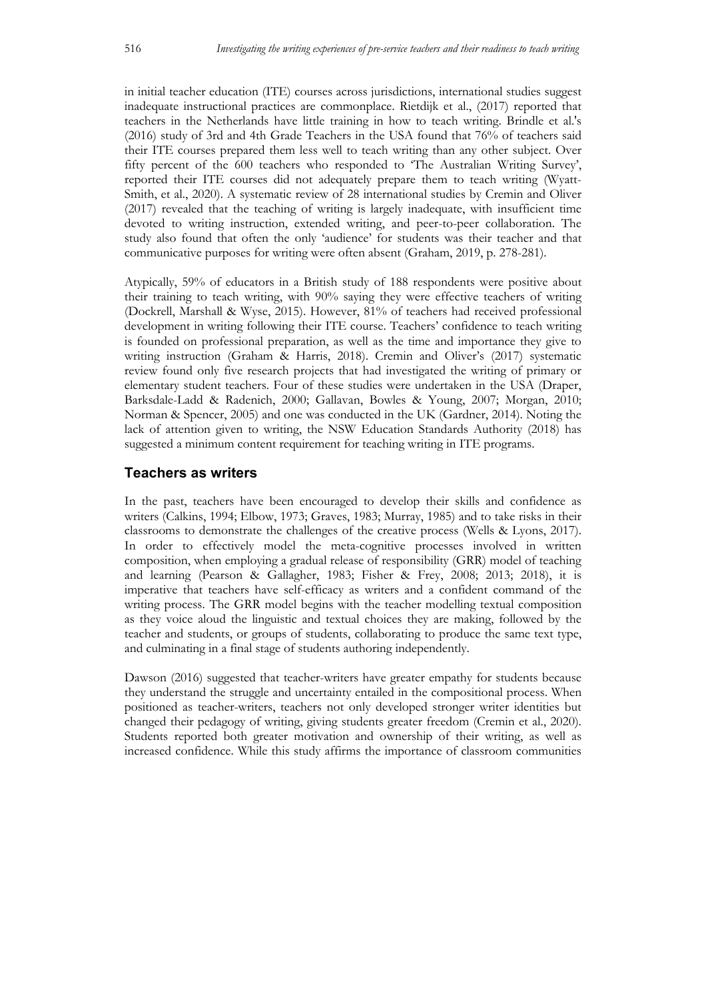in initial teacher education (ITE) courses across jurisdictions, international studies suggest inadequate instructional practices are commonplace. Rietdijk et al., (2017) reported that teachers in the Netherlands have little training in how to teach writing. Brindle et al.'s (2016) study of 3rd and 4th Grade Teachers in the USA found that 76% of teachers said their ITE courses prepared them less well to teach writing than any other subject. Over fifty percent of the 600 teachers who responded to 'The Australian Writing Survey', reported their ITE courses did not adequately prepare them to teach writing (Wyatt-Smith, et al., 2020). A systematic review of 28 international studies by Cremin and Oliver (2017) revealed that the teaching of writing is largely inadequate, with insufficient time devoted to writing instruction, extended writing, and peer-to-peer collaboration. The study also found that often the only 'audience' for students was their teacher and that communicative purposes for writing were often absent (Graham, 2019, p. 278-281).

Atypically, 59% of educators in a British study of 188 respondents were positive about their training to teach writing, with 90% saying they were effective teachers of writing (Dockrell, Marshall & Wyse, 2015). However, 81% of teachers had received professional development in writing following their ITE course. Teachers' confidence to teach writing is founded on professional preparation, as well as the time and importance they give to writing instruction (Graham & Harris, 2018). Cremin and Oliver's (2017) systematic review found only five research projects that had investigated the writing of primary or elementary student teachers. Four of these studies were undertaken in the USA (Draper, Barksdale-Ladd & Radenich, 2000; Gallavan, Bowles & Young, 2007; Morgan, 2010; Norman & Spencer, 2005) and one was conducted in the UK (Gardner, 2014). Noting the lack of attention given to writing, the NSW Education Standards Authority (2018) has suggested a minimum content requirement for teaching writing in ITE programs.

# **Teachers as writers**

In the past, teachers have been encouraged to develop their skills and confidence as writers (Calkins, 1994; Elbow, 1973; Graves, 1983; Murray, 1985) and to take risks in their classrooms to demonstrate the challenges of the creative process (Wells & Lyons, 2017). In order to effectively model the meta-cognitive processes involved in written composition, when employing a gradual release of responsibility (GRR) model of teaching and learning (Pearson & Gallagher, 1983; Fisher & Frey, 2008; 2013; 2018), it is imperative that teachers have self-efficacy as writers and a confident command of the writing process. The GRR model begins with the teacher modelling textual composition as they voice aloud the linguistic and textual choices they are making, followed by the teacher and students, or groups of students, collaborating to produce the same text type, and culminating in a final stage of students authoring independently.

Dawson (2016) suggested that teacher-writers have greater empathy for students because they understand the struggle and uncertainty entailed in the compositional process. When positioned as teacher-writers, teachers not only developed stronger writer identities but changed their pedagogy of writing, giving students greater freedom (Cremin et al., 2020). Students reported both greater motivation and ownership of their writing, as well as increased confidence. While this study affirms the importance of classroom communities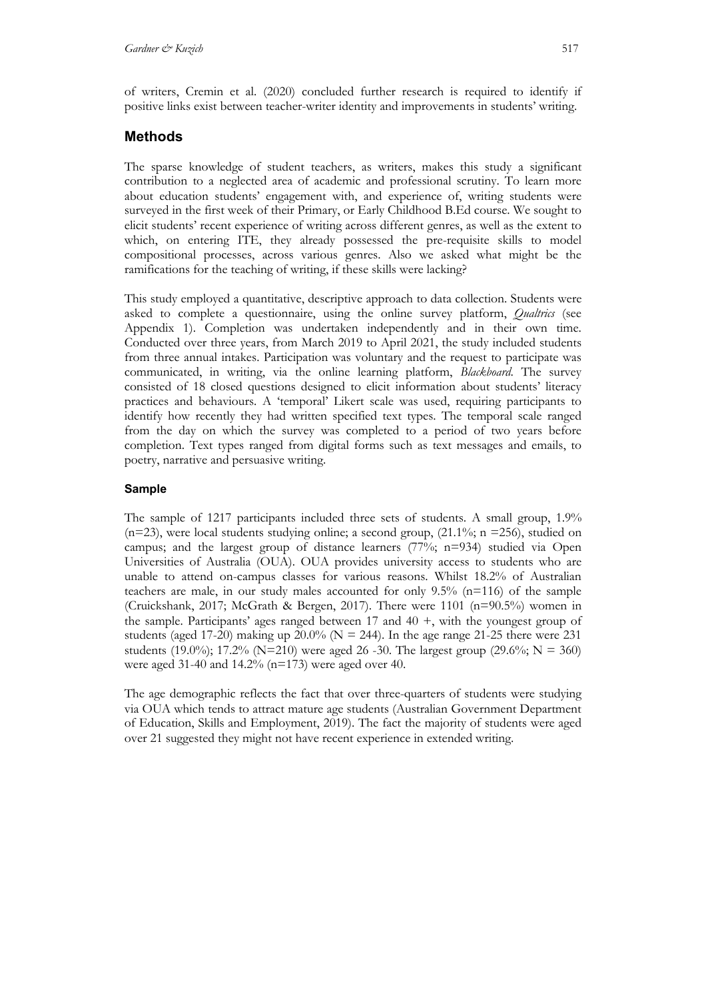of writers, Cremin et al. (2020) concluded further research is required to identify if positive links exist between teacher-writer identity and improvements in students' writing.

# **Methods**

The sparse knowledge of student teachers, as writers, makes this study a significant contribution to a neglected area of academic and professional scrutiny. To learn more about education students' engagement with, and experience of, writing students were surveyed in the first week of their Primary, or Early Childhood B.Ed course. We sought to elicit students' recent experience of writing across different genres, as well as the extent to which, on entering ITE, they already possessed the pre-requisite skills to model compositional processes, across various genres. Also we asked what might be the ramifications for the teaching of writing, if these skills were lacking?

This study employed a quantitative, descriptive approach to data collection. Students were asked to complete a questionnaire, using the online survey platform, *Qualtrics* (see Appendix 1). Completion was undertaken independently and in their own time. Conducted over three years, from March 2019 to April 2021, the study included students from three annual intakes. Participation was voluntary and the request to participate was communicated, in writing, via the online learning platform, *Blackboard*. The survey consisted of 18 closed questions designed to elicit information about students' literacy practices and behaviours. A 'temporal' Likert scale was used, requiring participants to identify how recently they had written specified text types. The temporal scale ranged from the day on which the survey was completed to a period of two years before completion. Text types ranged from digital forms such as text messages and emails, to poetry, narrative and persuasive writing.

# **Sample**

The sample of 1217 participants included three sets of students. A small group, 1.9% ( $n=23$ ), were local students studying online; a second group, ( $21.1\%$ ; n =256), studied on campus; and the largest group of distance learners (77%; n=934) studied via Open Universities of Australia (OUA). OUA provides university access to students who are unable to attend on-campus classes for various reasons. Whilst 18.2% of Australian teachers are male, in our study males accounted for only 9.5% (n=116) of the sample (Cruickshank, 2017; McGrath & Bergen, 2017). There were 1101 (n=90.5%) women in the sample. Participants' ages ranged between  $17$  and  $40 +$ , with the youngest group of students (aged 17-20) making up 20.0% ( $N = 244$ ). In the age range 21-25 there were 231 students (19.0%); 17.2% (N=210) were aged 26 -30. The largest group (29.6%; N = 360) were aged 31-40 and 14.2% (n=173) were aged over 40.

The age demographic reflects the fact that over three-quarters of students were studying via OUA which tends to attract mature age students (Australian Government Department of Education, Skills and Employment, 2019). The fact the majority of students were aged over 21 suggested they might not have recent experience in extended writing.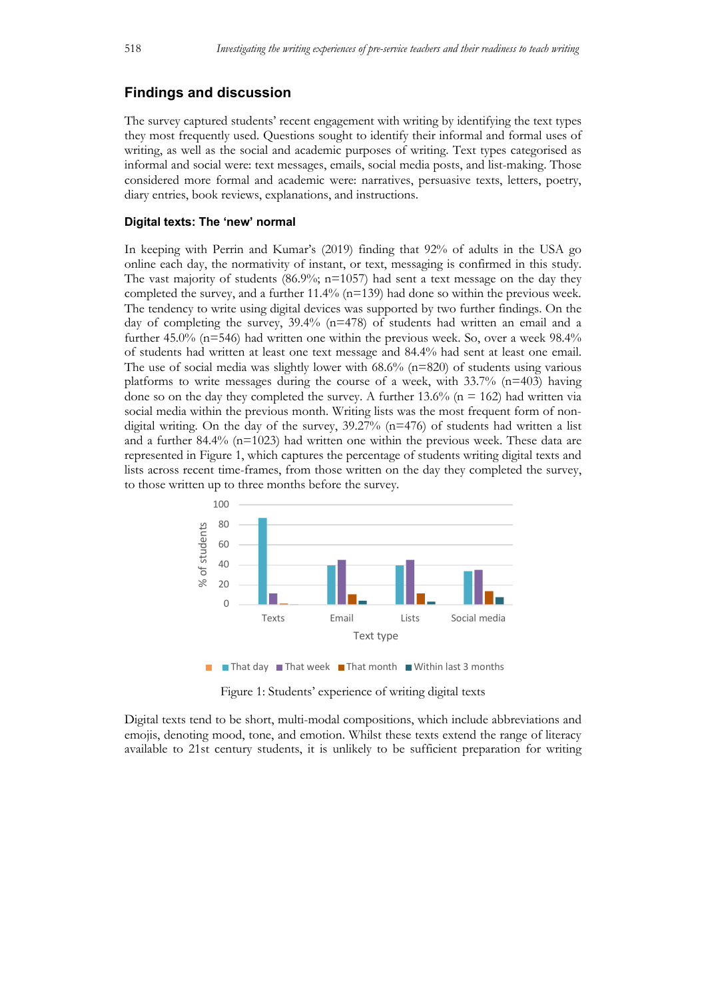# **Findings and discussion**

The survey captured students' recent engagement with writing by identifying the text types they most frequently used. Questions sought to identify their informal and formal uses of writing, as well as the social and academic purposes of writing. Text types categorised as informal and social were: text messages, emails, social media posts, and list-making. Those considered more formal and academic were: narratives, persuasive texts, letters, poetry, diary entries, book reviews, explanations, and instructions.

#### **Digital texts: The 'new' normal**

In keeping with Perrin and Kumar's (2019) finding that 92% of adults in the USA go online each day, the normativity of instant, or text, messaging is confirmed in this study. The vast majority of students  $(86.9\%; n=1057)$  had sent a text message on the day they completed the survey, and a further 11.4% (n=139) had done so within the previous week. The tendency to write using digital devices was supported by two further findings. On the day of completing the survey,  $39.4\%$  (n=478) of students had written an email and a further 45.0% (n=546) had written one within the previous week. So, over a week 98.4% of students had written at least one text message and 84.4% had sent at least one email. The use of social media was slightly lower with  $68.6\%$  ( $n=820$ ) of students using various platforms to write messages during the course of a week, with  $33.7\%$  (n=403) having done so on the day they completed the survey. A further 13.6% ( $n = 162$ ) had written via social media within the previous month. Writing lists was the most frequent form of nondigital writing. On the day of the survey, 39.27% (n=476) of students had written a list and a further 84.4% (n=1023) had written one within the previous week. These data are represented in Figure 1, which captures the percentage of students writing digital texts and lists across recent time-frames, from those written on the day they completed the survey, to those written up to three months before the survey.



Figure 1: Students' experience of writing digital texts

Digital texts tend to be short, multi-modal compositions, which include abbreviations and emojis, denoting mood, tone, and emotion. Whilst these texts extend the range of literacy available to 21st century students, it is unlikely to be sufficient preparation for writing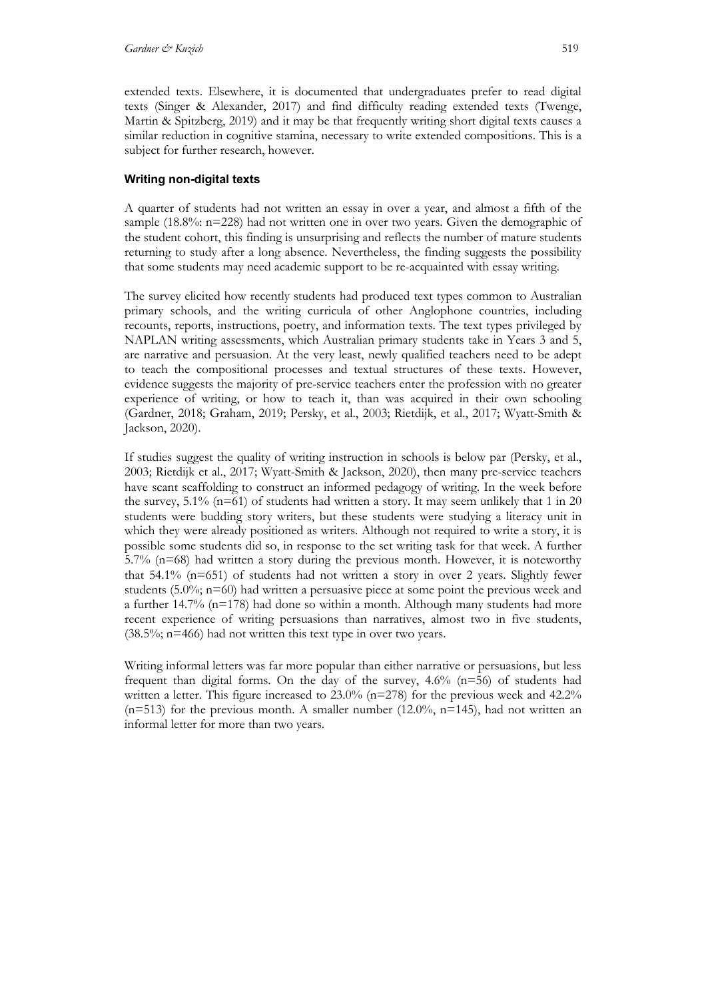extended texts. Elsewhere, it is documented that undergraduates prefer to read digital texts (Singer & Alexander, 2017) and find difficulty reading extended texts (Twenge, Martin & Spitzberg, 2019) and it may be that frequently writing short digital texts causes a similar reduction in cognitive stamina, necessary to write extended compositions. This is a subject for further research, however.

## **Writing non-digital texts**

A quarter of students had not written an essay in over a year, and almost a fifth of the sample (18.8%: n=228) had not written one in over two years. Given the demographic of the student cohort, this finding is unsurprising and reflects the number of mature students returning to study after a long absence. Nevertheless, the finding suggests the possibility that some students may need academic support to be re-acquainted with essay writing.

The survey elicited how recently students had produced text types common to Australian primary schools, and the writing curricula of other Anglophone countries, including recounts, reports, instructions, poetry, and information texts. The text types privileged by NAPLAN writing assessments, which Australian primary students take in Years 3 and 5, are narrative and persuasion. At the very least, newly qualified teachers need to be adept to teach the compositional processes and textual structures of these texts. However, evidence suggests the majority of pre-service teachers enter the profession with no greater experience of writing, or how to teach it, than was acquired in their own schooling (Gardner, 2018; Graham, 2019; Persky, et al., 2003; Rietdijk, et al., 2017; Wyatt-Smith & Jackson, 2020).

If studies suggest the quality of writing instruction in schools is below par (Persky, et al., 2003; Rietdijk et al., 2017; Wyatt-Smith & Jackson, 2020), then many pre-service teachers have scant scaffolding to construct an informed pedagogy of writing. In the week before the survey, 5.1% ( $n=61$ ) of students had written a story. It may seem unlikely that 1 in 20 students were budding story writers, but these students were studying a literacy unit in which they were already positioned as writers. Although not required to write a story, it is possible some students did so, in response to the set writing task for that week. A further  $5.7\%$  (n=68) had written a story during the previous month. However, it is noteworthy that 54.1% (n=651) of students had not written a story in over 2 years. Slightly fewer students (5.0%; n=60) had written a persuasive piece at some point the previous week and a further 14.7% (n=178) had done so within a month. Although many students had more recent experience of writing persuasions than narratives, almost two in five students,  $(38.5\%; n=466)$  had not written this text type in over two years.

Writing informal letters was far more popular than either narrative or persuasions, but less frequent than digital forms. On the day of the survey, 4.6% (n=56) of students had written a letter. This figure increased to  $23.0\%$  (n=278) for the previous week and  $42.2\%$  $(n=513)$  for the previous month. A smaller number  $(12.0\%$ ,  $n=145)$ , had not written an informal letter for more than two years.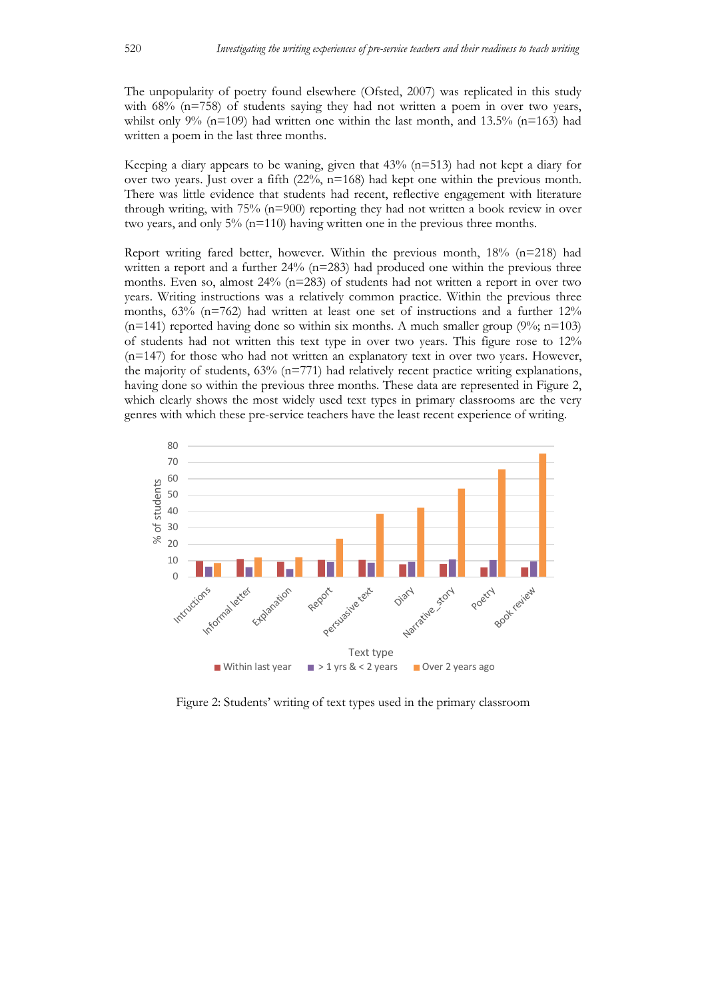The unpopularity of poetry found elsewhere (Ofsted, 2007) was replicated in this study with  $68\%$  ( $n=758$ ) of students saying they had not written a poem in over two years, whilst only 9% (n=109) had written one within the last month, and 13.5% (n=163) had written a poem in the last three months.

Keeping a diary appears to be waning, given that  $43\%$  (n=513) had not kept a diary for over two years. Just over a fifth  $(22\%, n=168)$  had kept one within the previous month. There was little evidence that students had recent, reflective engagement with literature through writing, with 75% (n=900) reporting they had not written a book review in over two years, and only 5% (n=110) having written one in the previous three months.

Report writing fared better, however. Within the previous month, 18% (n=218) had written a report and a further 24% (n=283) had produced one within the previous three months. Even so, almost  $24\%$  (n=283) of students had not written a report in over two years. Writing instructions was a relatively common practice. Within the previous three months,  $63\%$  (n=762) had written at least one set of instructions and a further  $12\%$  $(n=141)$  reported having done so within six months. A much smaller group (9%; n=103) of students had not written this text type in over two years. This figure rose to 12% (n=147) for those who had not written an explanatory text in over two years. However, the majority of students,  $63\%$  (n=771) had relatively recent practice writing explanations, having done so within the previous three months. These data are represented in Figure 2, which clearly shows the most widely used text types in primary classrooms are the very genres with which these pre-service teachers have the least recent experience of writing.



Figure 2: Students' writing of text types used in the primary classroom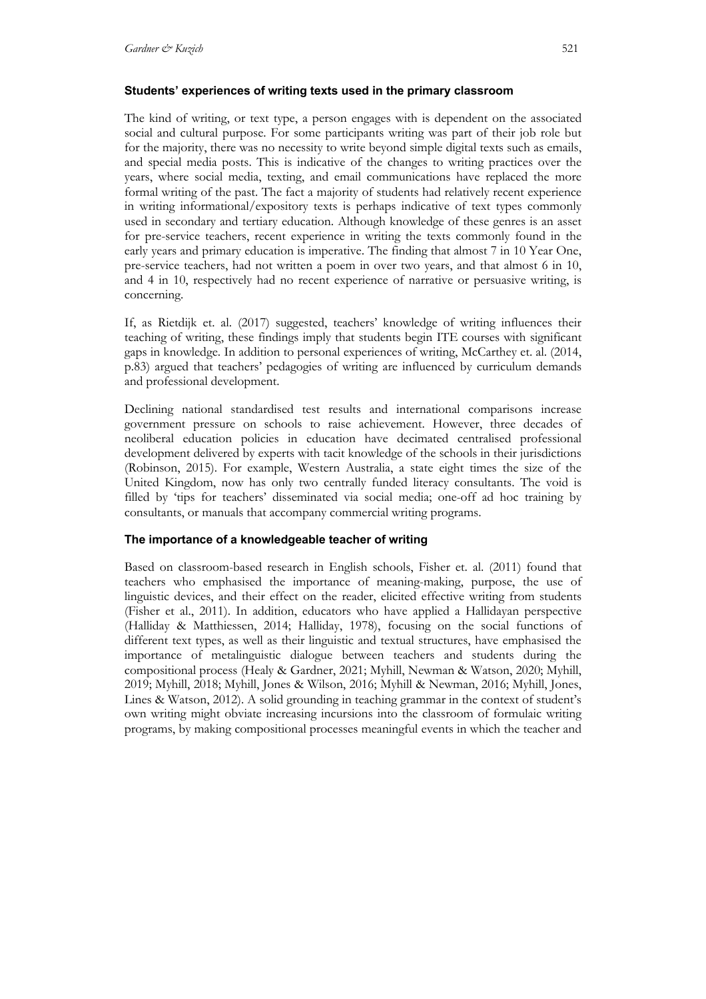## **Students' experiences of writing texts used in the primary classroom**

The kind of writing, or text type, a person engages with is dependent on the associated social and cultural purpose. For some participants writing was part of their job role but for the majority, there was no necessity to write beyond simple digital texts such as emails, and special media posts. This is indicative of the changes to writing practices over the years, where social media, texting, and email communications have replaced the more formal writing of the past. The fact a majority of students had relatively recent experience in writing informational/expository texts is perhaps indicative of text types commonly used in secondary and tertiary education. Although knowledge of these genres is an asset for pre-service teachers, recent experience in writing the texts commonly found in the early years and primary education is imperative. The finding that almost 7 in 10 Year One, pre-service teachers, had not written a poem in over two years, and that almost 6 in 10, and 4 in 10, respectively had no recent experience of narrative or persuasive writing, is concerning.

If, as Rietdijk et. al. (2017) suggested, teachers' knowledge of writing influences their teaching of writing, these findings imply that students begin ITE courses with significant gaps in knowledge. In addition to personal experiences of writing, McCarthey et. al. (2014, p.83) argued that teachers' pedagogies of writing are influenced by curriculum demands and professional development.

Declining national standardised test results and international comparisons increase government pressure on schools to raise achievement. However, three decades of neoliberal education policies in education have decimated centralised professional development delivered by experts with tacit knowledge of the schools in their jurisdictions (Robinson, 2015). For example, Western Australia, a state eight times the size of the United Kingdom, now has only two centrally funded literacy consultants. The void is filled by 'tips for teachers' disseminated via social media; one-off ad hoc training by consultants, or manuals that accompany commercial writing programs.

## **The importance of a knowledgeable teacher of writing**

Based on classroom-based research in English schools, Fisher et. al. (2011) found that teachers who emphasised the importance of meaning-making, purpose, the use of linguistic devices, and their effect on the reader, elicited effective writing from students (Fisher et al., 2011). In addition, educators who have applied a Hallidayan perspective (Halliday & Matthiessen, 2014; Halliday, 1978), focusing on the social functions of different text types, as well as their linguistic and textual structures, have emphasised the importance of metalinguistic dialogue between teachers and students during the compositional process (Healy & Gardner, 2021; Myhill, Newman & Watson, 2020; Myhill, 2019; Myhill, 2018; Myhill, Jones & Wilson, 2016; Myhill & Newman, 2016; Myhill, Jones, Lines & Watson, 2012). A solid grounding in teaching grammar in the context of student's own writing might obviate increasing incursions into the classroom of formulaic writing programs, by making compositional processes meaningful events in which the teacher and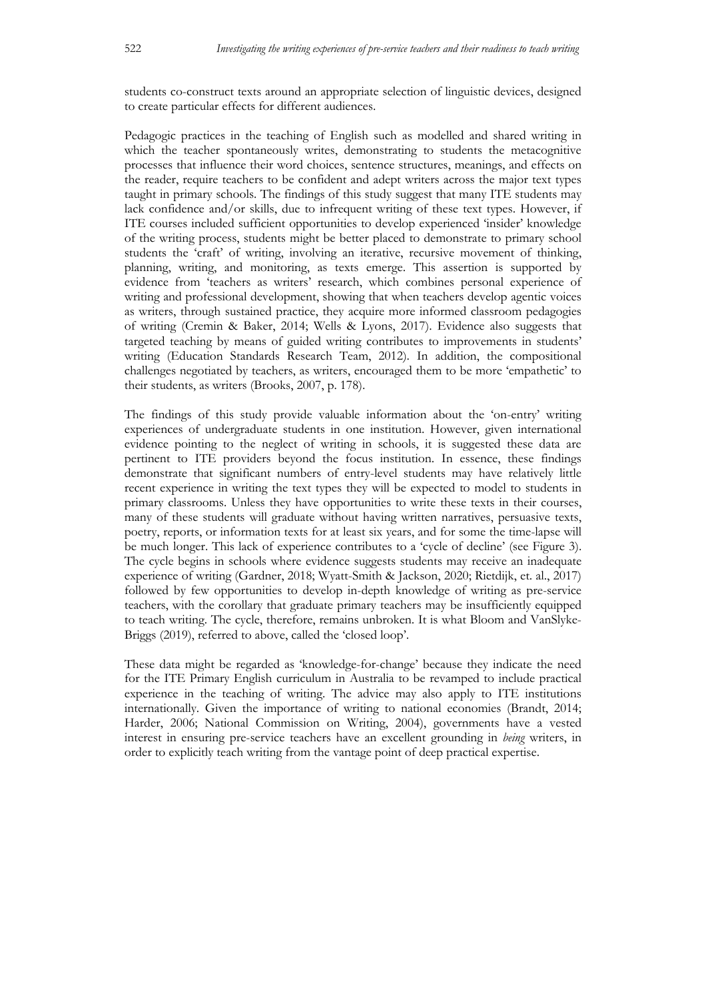students co-construct texts around an appropriate selection of linguistic devices, designed to create particular effects for different audiences.

Pedagogic practices in the teaching of English such as modelled and shared writing in which the teacher spontaneously writes, demonstrating to students the metacognitive processes that influence their word choices, sentence structures, meanings, and effects on the reader, require teachers to be confident and adept writers across the major text types taught in primary schools. The findings of this study suggest that many ITE students may lack confidence and/or skills, due to infrequent writing of these text types. However, if ITE courses included sufficient opportunities to develop experienced 'insider' knowledge of the writing process, students might be better placed to demonstrate to primary school students the 'craft' of writing, involving an iterative, recursive movement of thinking, planning, writing, and monitoring, as texts emerge. This assertion is supported by evidence from 'teachers as writers' research, which combines personal experience of writing and professional development, showing that when teachers develop agentic voices as writers, through sustained practice, they acquire more informed classroom pedagogies of writing (Cremin & Baker, 2014; Wells & Lyons, 2017). Evidence also suggests that targeted teaching by means of guided writing contributes to improvements in students' writing (Education Standards Research Team, 2012). In addition, the compositional challenges negotiated by teachers, as writers, encouraged them to be more 'empathetic' to their students, as writers (Brooks, 2007, p. 178).

The findings of this study provide valuable information about the 'on-entry' writing experiences of undergraduate students in one institution. However, given international evidence pointing to the neglect of writing in schools, it is suggested these data are pertinent to ITE providers beyond the focus institution. In essence, these findings demonstrate that significant numbers of entry-level students may have relatively little recent experience in writing the text types they will be expected to model to students in primary classrooms. Unless they have opportunities to write these texts in their courses, many of these students will graduate without having written narratives, persuasive texts, poetry, reports, or information texts for at least six years, and for some the time-lapse will be much longer. This lack of experience contributes to a 'cycle of decline' (see Figure 3). The cycle begins in schools where evidence suggests students may receive an inadequate experience of writing (Gardner, 2018; Wyatt-Smith & Jackson, 2020; Rietdijk, et. al., 2017) followed by few opportunities to develop in-depth knowledge of writing as pre-service teachers, with the corollary that graduate primary teachers may be insufficiently equipped to teach writing. The cycle, therefore, remains unbroken. It is what Bloom and VanSlyke-Briggs (2019), referred to above, called the 'closed loop'.

These data might be regarded as 'knowledge-for-change' because they indicate the need for the ITE Primary English curriculum in Australia to be revamped to include practical experience in the teaching of writing. The advice may also apply to ITE institutions internationally. Given the importance of writing to national economies (Brandt, 2014; Harder, 2006; National Commission on Writing, 2004), governments have a vested interest in ensuring pre-service teachers have an excellent grounding in *being* writers, in order to explicitly teach writing from the vantage point of deep practical expertise.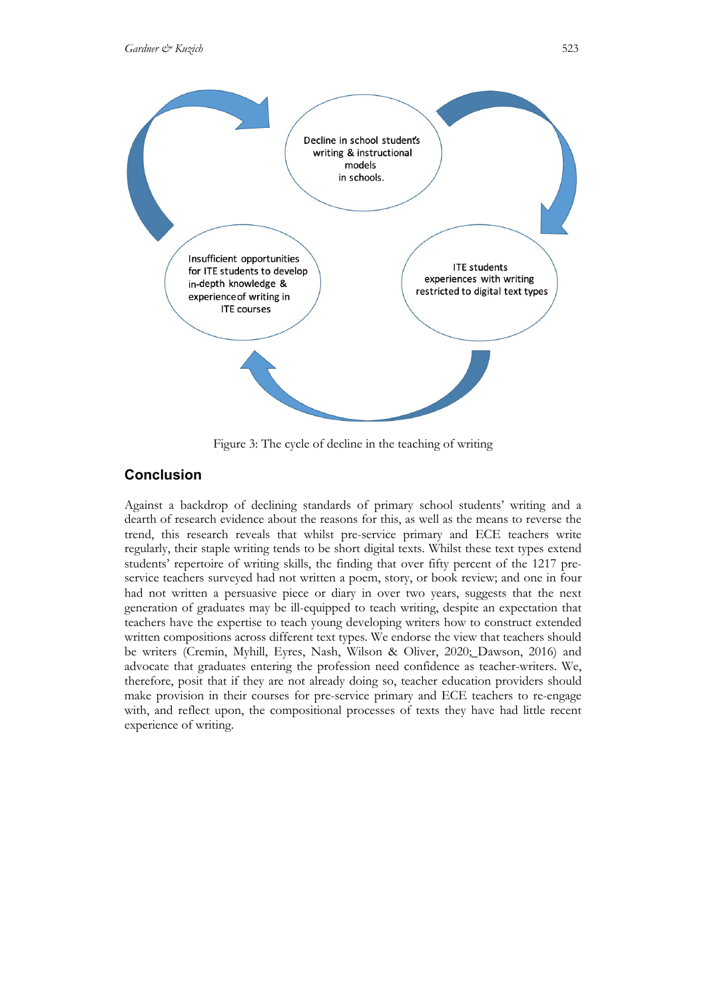

Figure 3: The cycle of decline in the teaching of writing

# **Conclusion**

Against a backdrop of declining standards of primary school students' writing and a dearth of research evidence about the reasons for this, as well as the means to reverse the trend, this research reveals that whilst pre-service primary and ECE teachers write regularly, their staple writing tends to be short digital texts. Whilst these text types extend students' repertoire of writing skills, the finding that over fifty percent of the 1217 preservice teachers surveyed had not written a poem, story, or book review; and one in four had not written a persuasive piece or diary in over two years, suggests that the next generation of graduates may be ill-equipped to teach writing, despite an expectation that teachers have the expertise to teach young developing writers how to construct extended written compositions across different text types. We endorse the view that teachers should be writers (Cremin, Myhill, Eyres, Nash, Wilson & Oliver, 2020; Dawson, 2016) and advocate that graduates entering the profession need confidence as teacher-writers. We, therefore, posit that if they are not already doing so, teacher education providers should make provision in their courses for pre-service primary and ECE teachers to re-engage with, and reflect upon, the compositional processes of texts they have had little recent experience of writing.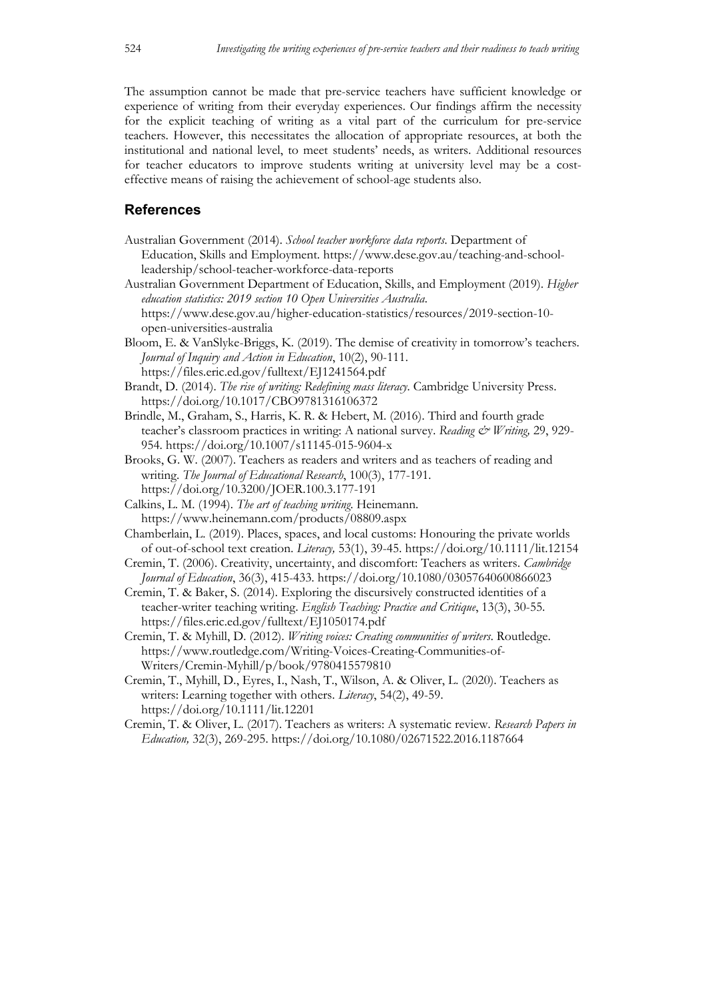The assumption cannot be made that pre-service teachers have sufficient knowledge or experience of writing from their everyday experiences. Our findings affirm the necessity for the explicit teaching of writing as a vital part of the curriculum for pre-service teachers. However, this necessitates the allocation of appropriate resources, at both the institutional and national level, to meet students' needs, as writers. Additional resources for teacher educators to improve students writing at university level may be a costeffective means of raising the achievement of school-age students also.

# **References**

- Australian Government (2014). *School teacher workforce data reports*. Department of Education, Skills and Employment. https://www.dese.gov.au/teaching-and-schoolleadership/school-teacher-workforce-data-reports
- Australian Government Department of Education, Skills, and Employment (2019). *Higher education statistics: 2019 section 10 Open Universities Australia*. https://www.dese.gov.au/higher-education-statistics/resources/2019-section-10 open-universities-australia
- Bloom, E. & VanSlyke-Briggs, K. (2019). The demise of creativity in tomorrow's teachers. *Journal of Inquiry and Action in Education*, 10(2), 90-111. https://files.eric.ed.gov/fulltext/EJ1241564.pdf
- Brandt, D. (2014). *The rise of writing: Redefining mass literacy*. Cambridge University Press. https://doi.org/10.1017/CBO9781316106372
- Brindle, M., Graham, S., Harris, K. R. & Hebert, M. (2016). Third and fourth grade teacher's classroom practices in writing: A national survey. *Reading & Writing*, 29, 929-954. https://doi.org/10.1007/s11145-015-9604-x
- Brooks, G. W. (2007). Teachers as readers and writers and as teachers of reading and writing. *The Journal of Educational Research*, 100(3), 177-191. https://doi.org/10.3200/JOER.100.3.177-191
- Calkins, L. M. (1994). *The art of teaching writing*. Heinemann. https://www.heinemann.com/products/08809.aspx
- Chamberlain, L. (2019). Places, spaces, and local customs: Honouring the private worlds of out-of-school text creation. *Literacy,* 53(1), 39-45. https://doi.org/10.1111/lit.12154
- Cremin, T. (2006). Creativity, uncertainty, and discomfort: Teachers as writers. *Cambridge Journal of Education*, 36(3), 415-433. https://doi.org/10.1080/03057640600866023
- Cremin, T. & Baker, S. (2014). Exploring the discursively constructed identities of a teacher-writer teaching writing. *English Teaching: Practice and Critique*, 13(3), 30-55. https://files.eric.ed.gov/fulltext/EJ1050174.pdf
- Cremin, T. & Myhill, D. (2012). *Writing voices: Creating communities of writers*. Routledge. https://www.routledge.com/Writing-Voices-Creating-Communities-of-Writers/Cremin-Myhill/p/book/9780415579810
- Cremin, T., Myhill, D., Eyres, I., Nash, T., Wilson, A. & Oliver, L. (2020). Teachers as writers: Learning together with others. *Literacy*, 54(2), 49-59. https://doi.org/10.1111/lit.12201
- Cremin, T. & Oliver, L. (2017). Teachers as writers: A systematic review. *Research Papers in Education,* 32(3), 269-295. https://doi.org/10.1080/02671522.2016.1187664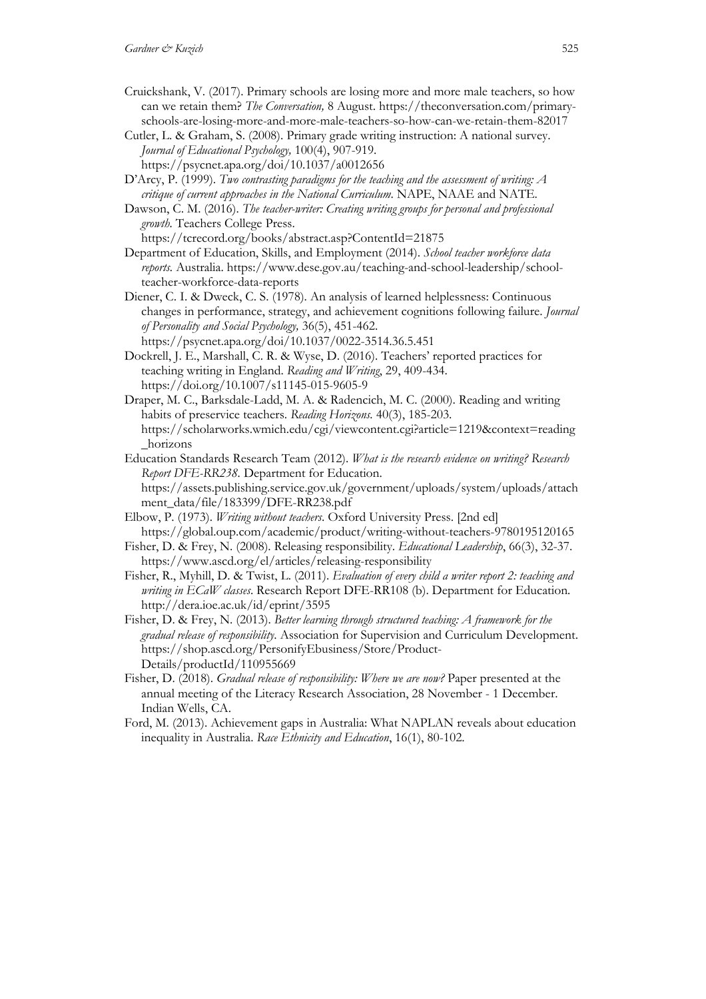- Cruickshank, V. (2017). Primary schools are losing more and more male teachers, so how can we retain them? *The Conversation,* 8 August. https://theconversation.com/primaryschools-are-losing-more-and-more-male-teachers-so-how-can-we-retain-them-82017
- Cutler, L. & Graham, S. (2008). Primary grade writing instruction: A national survey. *Journal of Educational Psychology,* 100(4), 907-919.
- https://psycnet.apa.org/doi/10.1037/a0012656
- D'Arcy, P. (1999). *Two contrasting paradigms for the teaching and the assessment of writing: A critique of current approaches in the National Curriculum*. NAPE, NAAE and NATE.
- Dawson, C. M. (2016). *The teacher-writer: Creating writing groups for personal and professional growth.* Teachers College Press. https://tcrecord.org/books/abstract.asp?ContentId=21875
- Department of Education, Skills, and Employment (2014). *School teacher workforce data reports.* Australia. https://www.dese.gov.au/teaching-and-school-leadership/schoolteacher-workforce-data-reports
- Diener, C. I. & Dweck, C. S. (1978). An analysis of learned helplessness: Continuous changes in performance, strategy, and achievement cognitions following failure. *Journal of Personality and Social Psychology,* 36(5), 451-462.
- https://psycnet.apa.org/doi/10.1037/0022-3514.36.5.451 Dockrell, J. E., Marshall, C. R. & Wyse, D. (2016). Teachers' reported practices for teaching writing in England. *Reading and Writing*, 29, 409-434. https://doi.org/10.1007/s11145-015-9605-9
- Draper, M. C., Barksdale-Ladd, M. A. & Radencich, M. C. (2000). Reading and writing habits of preservice teachers. *Reading Horizons.* 40(3), 185-203. https://scholarworks.wmich.edu/cgi/viewcontent.cgi?article=1219&context=reading \_horizons
- Education Standards Research Team (2012). *What is the research evidence on writing? Research Report DFE-RR238.* Department for Education. https://assets.publishing.service.gov.uk/government/uploads/system/uploads/attach ment\_data/file/183399/DFE-RR238.pdf
- Elbow, P. (1973). *Writing without teachers*. Oxford University Press. [2nd ed] https://global.oup.com/academic/product/writing-without-teachers-9780195120165
- Fisher, D. & Frey, N. (2008). Releasing responsibility. *Educational Leadership*, 66(3), 32-37. https://www.ascd.org/el/articles/releasing-responsibility
- Fisher, R., Myhill, D. & Twist, L. (2011). *Evaluation of every child a writer report 2: teaching and writing in ECaW classes*. Research Report DFE-RR108 (b). Department for Education*.* http://dera.ioe.ac.uk/id/eprint/3595
- Fisher, D. & Frey, N. (2013). *Better learning through structured teaching: A framework for the gradual release of responsibility*. Association for Supervision and Curriculum Development. https://shop.ascd.org/PersonifyEbusiness/Store/Product-Details/productId/110955669
- Fisher, D. (2018). *Gradual release of responsibility: Where we are now?* Paper presented at the annual meeting of the Literacy Research Association, 28 November - 1 December. Indian Wells, CA.
- Ford, M. (2013). Achievement gaps in Australia: What NAPLAN reveals about education inequality in Australia. *Race Ethnicity and Education*, 16(1), 80-102.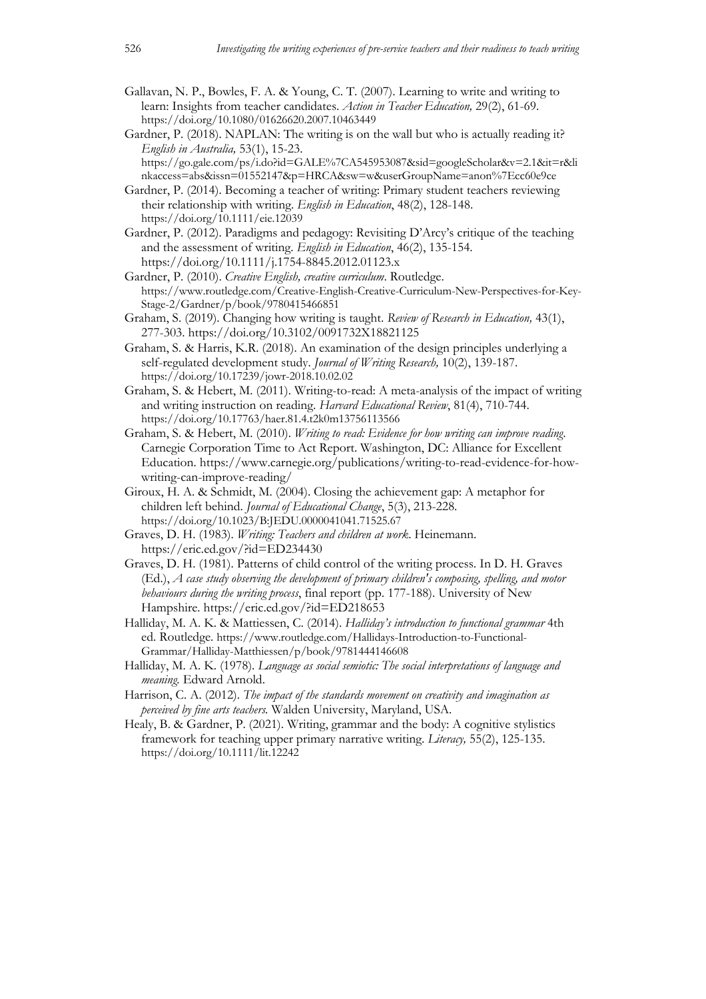- Gallavan, N. P., Bowles, F. A. & Young, C. T. (2007). Learning to write and writing to learn: Insights from teacher candidates. *Action in Teacher Education,* 29(2), 61-69. https://doi.org/10.1080/01626620.2007.10463449
- Gardner, P. (2018). NAPLAN: The writing is on the wall but who is actually reading it? *English in Australia,* 53(1), 15-23. https://go.gale.com/ps/i.do?id=GALE%7CA545953087&sid=googleScholar&v=2.1&it=r&li
	- nkaccess=abs&issn=01552147&p=HRCA&sw=w&userGroupName=anon%7Ecc60e9ce
- Gardner, P. (2014). Becoming a teacher of writing: Primary student teachers reviewing their relationship with writing. *English in Education*, 48(2), 128-148. https://doi.org/10.1111/eie.12039
- Gardner, P. (2012). Paradigms and pedagogy: Revisiting D'Arcy's critique of the teaching and the assessment of writing. *English in Education*, 46(2), 135-154. https://doi.org/10.1111/j.1754-8845.2012.01123.x
- Gardner, P. (2010). *Creative English, creative curriculum*. Routledge. https://www.routledge.com/Creative-English-Creative-Curriculum-New-Perspectives-for-Key-Stage-2/Gardner/p/book/9780415466851
- Graham, S. (2019). Changing how writing is taught. *Review of Research in Education,* 43(1), 277-303. https://doi.org/10.3102/0091732X18821125
- Graham, S. & Harris, K.R. (2018). An examination of the design principles underlying a self-regulated development study. *Journal of Writing Research,* 10(2), 139-187. https://doi.org/10.17239/jowr-2018.10.02.02
- Graham, S. & Hebert, M. (2011). Writing-to-read: A meta-analysis of the impact of writing and writing instruction on reading. *Harvard Educational Review*, 81(4), 710-744. https://doi.org/10.17763/haer.81.4.t2k0m13756113566
- Graham, S. & Hebert, M. (2010). *Writing to read: Evidence for how writing can improve reading*. Carnegie Corporation Time to Act Report. Washington, DC: Alliance for Excellent Education. https://www.carnegie.org/publications/writing-to-read-evidence-for-howwriting-can-improve-reading/
- Giroux, H. A. & Schmidt, M. (2004). Closing the achievement gap: A metaphor for children left behind. *Journal of Educational Change*, 5(3), 213-228. https://doi.org/10.1023/B:JEDU.0000041041.71525.67
- Graves, D. H. (1983). *Writing: Teachers and children at work*. Heinemann. https://eric.ed.gov/?id=ED234430
- Graves, D. H. (1981). Patterns of child control of the writing process. In D. H. Graves (Ed.), *A case study observing the development of primary children's composing, spelling, and motor behaviours during the writing process*, final report (pp. 177-188). University of New Hampshire. https://eric.ed.gov/?id=ED218653
- Halliday, M. A. K. & Mattiessen, C. (2014). *Halliday's introduction to functional grammar* 4th ed. Routledge. https://www.routledge.com/Hallidays-Introduction-to-Functional-Grammar/Halliday-Matthiessen/p/book/9781444146608
- Halliday, M. A. K. (1978). *Language as social semiotic: The social interpretations of language and meaning.* Edward Arnold.
- Harrison, C. A. (2012). *The impact of the standards movement on creativity and imagination as perceived by fine arts teachers.* Walden University, Maryland, USA.
- Healy, B. & Gardner, P. (2021). Writing, grammar and the body: A cognitive stylistics framework for teaching upper primary narrative writing. *Literacy,* 55(2), 125-135. https://doi.org/10.1111/lit.12242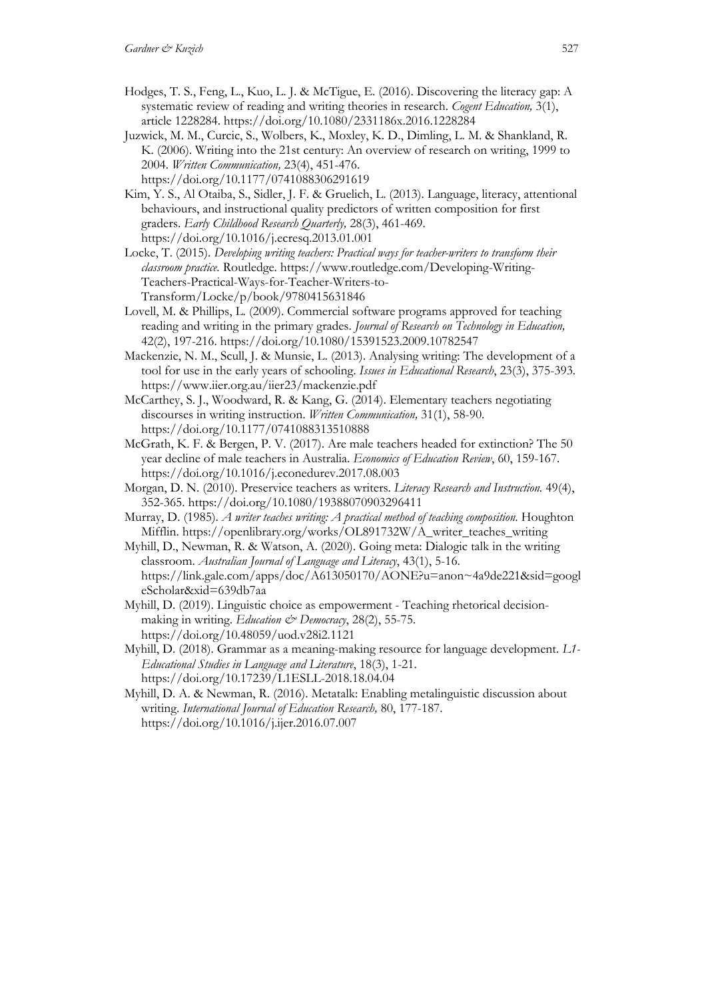- Hodges, T. S., Feng, L., Kuo, L. J. & McTigue, E. (2016). Discovering the literacy gap: A systematic review of reading and writing theories in research. *Cogent Education,* 3(1), article 1228284. https://doi.org/10.1080/2331186x.2016.1228284
- Juzwick, M. M., Curcic, S., Wolbers, K., Moxley, K. D., Dimling, L. M. & Shankland, R. K. (2006). Writing into the 21st century: An overview of research on writing, 1999 to 2004. *Written Communication,* 23(4), 451-476. https://doi.org/10.1177/0741088306291619
- Kim, Y. S., Al Otaiba, S., Sidler, J. F. & Gruelich, L. (2013). Language, literacy, attentional behaviours, and instructional quality predictors of written composition for first graders. *Early Childhood Research Quarterly,* 28(3), 461-469. https://doi.org/10.1016/j.ecresq.2013.01.001
- Locke, T. (2015). *Developing writing teachers: Practical ways for teacher-writers to transform their classroom practice.* Routledge. https://www.routledge.com/Developing-Writing-Teachers-Practical-Ways-for-Teacher-Writers-to-Transform/Locke/p/book/9780415631846
- Lovell, M. & Phillips, L. (2009). Commercial software programs approved for teaching reading and writing in the primary grades. *Journal of Research on Technology in Education,*  42(2), 197-216. https://doi.org/10.1080/15391523.2009.10782547
- Mackenzie, N. M., Scull, J. & Munsie, L. (2013). Analysing writing: The development of a tool for use in the early years of schooling. *Issues in Educational Research*, 23(3), 375-393. https://www.iier.org.au/iier23/mackenzie.pdf
- McCarthey, S. J., Woodward, R. & Kang, G. (2014). Elementary teachers negotiating discourses in writing instruction. *Written Communication,* 31(1), 58-90. https://doi.org/10.1177/0741088313510888
- McGrath, K. F. & Bergen, P. V. (2017). Are male teachers headed for extinction? The 50 year decline of male teachers in Australia. *Economics of Education Review*, 60, 159-167. https://doi.org/10.1016/j.econedurev.2017.08.003
- Morgan, D. N. (2010). Preservice teachers as writers. *Literacy Research and Instruction.* 49(4), 352-365. https://doi.org/10.1080/19388070903296411
- Murray, D. (1985). *A writer teaches writing: A practical method of teaching composition*. Houghton Mifflin. https://openlibrary.org/works/OL891732W/A\_writer\_teaches\_writing
- Myhill, D., Newman, R. & Watson, A. (2020). Going meta: Dialogic talk in the writing classroom. *Australian Journal of Language and Literacy*, 43(1), 5-16. https://link.gale.com/apps/doc/A613050170/AONE?u=anon~4a9de221&sid=googl eScholar&xid=639db7aa
- Myhill, D. (2019). Linguistic choice as empowerment Teaching rhetorical decisionmaking in writing. *Education & Democracy*, 28(2), 55-75. https://doi.org/10.48059/uod.v28i2.1121
- Myhill, D. (2018). Grammar as a meaning-making resource for language development. *L1- Educational Studies in Language and Literature*, 18(3), 1-21. https://doi.org/10.17239/L1ESLL-2018.18.04.04
- Myhill, D. A. & Newman, R. (2016). Metatalk: Enabling metalinguistic discussion about writing. *International Journal of Education Research,* 80, 177-187. https://doi.org/10.1016/j.ijer.2016.07.007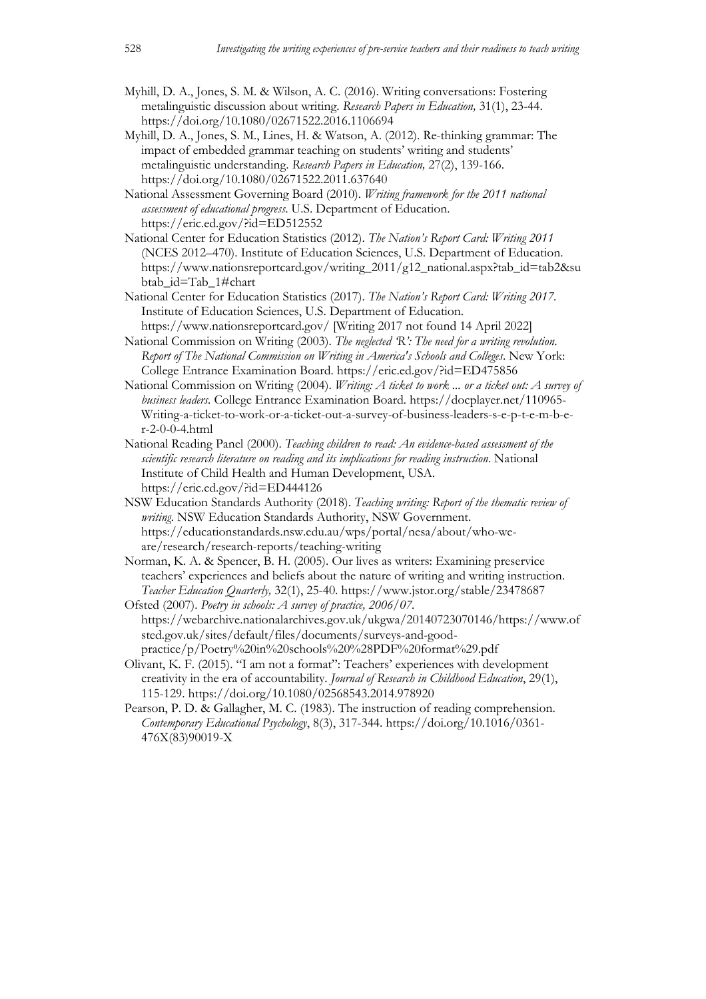- Myhill, D. A., Jones, S. M. & Wilson, A. C. (2016). Writing conversations: Fostering metalinguistic discussion about writing. *Research Papers in Education,* 31(1), 23-44. https://doi.org/10.1080/02671522.2016.1106694
- Myhill, D. A., Jones, S. M., Lines, H. & Watson, A. (2012). Re-thinking grammar: The impact of embedded grammar teaching on students' writing and students' metalinguistic understanding. *Research Papers in Education,* 27(2), 139-166. https://doi.org/10.1080/02671522.2011.637640
- National Assessment Governing Board (2010). *Writing framework for the 2011 national assessment of educational progress*. U.S. Department of Education. https://eric.ed.gov/?id=ED512552
- National Center for Education Statistics (2012). *The Nation's Report Card: Writing 2011* (NCES 2012–470). Institute of Education Sciences, U.S. Department of Education. https://www.nationsreportcard.gov/writing\_2011/g12\_national.aspx?tab\_id=tab2&su btab\_id=Tab\_1#chart
- National Center for Education Statistics (2017). *The Nation's Report Card: Writing 2017.* Institute of Education Sciences, U.S. Department of Education.
- https://www.nationsreportcard.gov/ [Writing 2017 not found 14 April 2022] National Commission on Writing (2003). *The neglected 'R': The need for a writing revolution*. *Report of The National Commission on Writing in America's Schools and Colleges*. New York: College Entrance Examination Board. https://eric.ed.gov/?id=ED475856
- National Commission on Writing (2004). *Writing: A ticket to work ... or a ticket out: A survey of business leaders.* College Entrance Examination Board*.* https://docplayer.net/110965- Writing-a-ticket-to-work-or-a-ticket-out-a-survey-of-business-leaders-s-e-p-t-e-m-b-er-2-0-0-4.html
- National Reading Panel (2000). *Teaching children to read: An evidence-based assessment of the scientific research literature on reading and its implications for reading instruction*. National Institute of Child Health and Human Development, USA. https://eric.ed.gov/?id=ED444126
- NSW Education Standards Authority (2018). *Teaching writing: Report of the thematic review of writing.* NSW Education Standards Authority, NSW Government. https://educationstandards.nsw.edu.au/wps/portal/nesa/about/who-weare/research/research-reports/teaching-writing
- Norman, K. A. & Spencer, B. H. (2005). Our lives as writers: Examining preservice teachers' experiences and beliefs about the nature of writing and writing instruction. *Teacher Education Quarterly,* 32(1), 25-40. https://www.jstor.org/stable/23478687
- Ofsted (2007). *Poetry in schools: A survey of practice, 2006/07.* https://webarchive.nationalarchives.gov.uk/ukgwa/20140723070146/https://www.of sted.gov.uk/sites/default/files/documents/surveys-and-goodpractice/p/Poetry%20in%20schools%20%28PDF%20format%29.pdf
- Olivant, K. F. (2015). "I am not a format": Teachers' experiences with development creativity in the era of accountability. *Journal of Research in Childhood Education*, 29(1), 115-129. https://doi.org/10.1080/02568543.2014.978920
- Pearson, P. D. & Gallagher, M. C. (1983). The instruction of reading comprehension. *Contemporary Educational Psychology*, 8(3), 317-344. https://doi.org/10.1016/0361- 476X(83)90019-X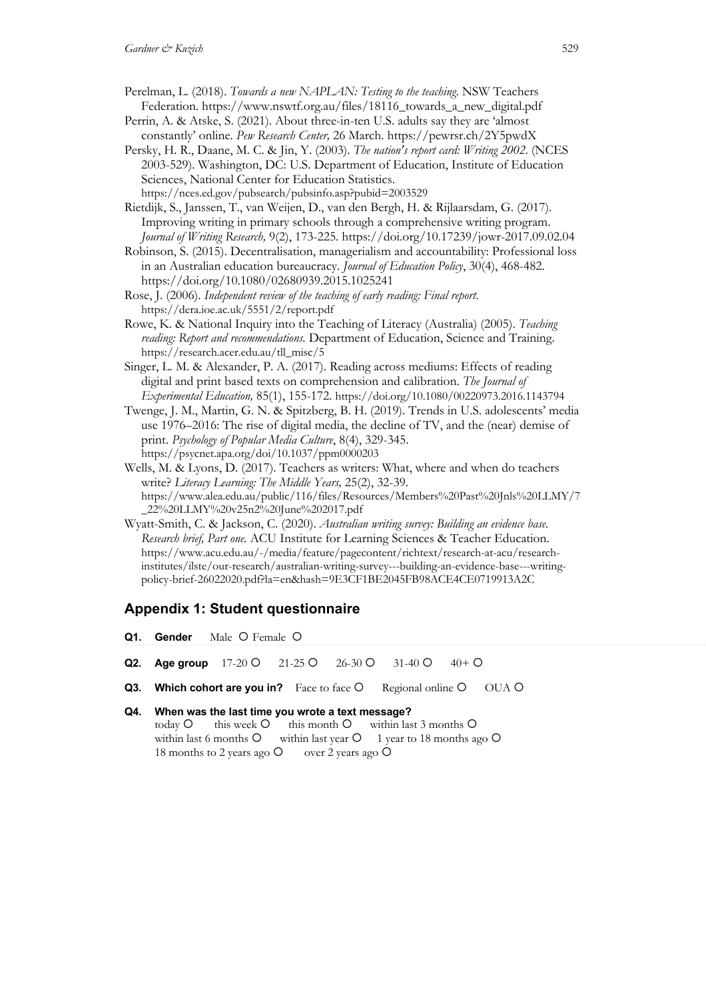- Perelman, L. (2018). *Towards a new NAPLAN: Testing to the teaching*. NSW Teachers Federation. https://www.nswtf.org.au/files/18116\_towards\_a\_new\_digital.pdf
- Perrin, A. & Atske, S. (2021). About three-in-ten U.S. adults say they are 'almost constantly' online. *Pew Research Center,* 26 March. https://pewrsr.ch/2Y5pwdX
- Persky, H. R., Daane, M. C. & Jin, Y. (2003). *The nation's report card: Writing 2002*. (NCES 2003-529). Washington, DC: U.S. Department of Education, Institute of Education Sciences, National Center for Education Statistics. https://nces.ed.gov/pubsearch/pubsinfo.asp?pubid=2003529
- Rietdijk, S., Janssen, T., van Weijen, D., van den Bergh, H. & Rijlaarsdam, G. (2017). Improving writing in primary schools through a comprehensive writing program. *Journal of Writing Research,* 9(2), 173-225. https://doi.org/10.17239/jowr-2017.09.02.04
- Robinson, S. (2015). Decentralisation, managerialism and accountability: Professional loss in an Australian education bureaucracy. *Journal of Education Policy*, 30(4), 468-482. https://doi.org/10.1080/02680939.2015.1025241
- Rose, J. (2006). *Independent review of the teaching of early reading: Final report*. https://dera.ioe.ac.uk/5551/2/report.pdf
- Rowe, K. & National Inquiry into the Teaching of Literacy (Australia) (2005). *Teaching reading: Report and recommendations.* Department of Education, Science and Training. https://research.acer.edu.au/tll\_misc/5
- Singer, L. M. & Alexander, P. A. (2017). Reading across mediums: Effects of reading digital and print based texts on comprehension and calibration. *The Journal of Experimental Education,* 85(1), 155-172. https://doi.org/10.1080/00220973.2016.1143794
- Twenge, J. M., Martin, G. N. & Spitzberg, B. H. (2019). Trends in U.S. adolescents' media use 1976–2016: The rise of digital media, the decline of TV, and the (near) demise of print. *Psychology of Popular Media Culture*, 8(4), 329-345. https://psycnet.apa.org/doi/10.1037/ppm0000203
- Wells, M. & Lyons, D. (2017). Teachers as writers: What, where and when do teachers write? *Literacy Learning: The Middle Years,* 25(2), 32-39. https://www.alea.edu.au/public/116/files/Resources/Members%20Past%20Jnls%20LLMY/7 \_22%20LLMY%20v25n2%20June%202017.pdf
- Wyatt-Smith, C. & Jackson, C. (2020). *Australian writing survey: Building an evidence base. Research brief, Part one.* ACU Institute for Learning Sciences & Teacher Education. https://www.acu.edu.au/-/media/feature/pagecontent/richtext/research-at-acu/researchinstitutes/ilste/our-research/australian-writing-survey---building-an-evidence-base---writingpolicy-brief-26022020.pdf?la=en&hash=9E3CF1BE2045FB98ACE4CE0719913A2C

# **Appendix 1: Student questionnaire**

- **Q1. Gender** Male O Female O
- **Q2.** Age group  $17-20$  Q  $21-25$  Q  $26-30$  Q  $31-40$  Q  $40+$  Q
- **Q3. Which cohort are you in?** Face to face  $\bigcirc$  Regional online  $\bigcirc$  OUA  $\bigcirc$

## **Q4. When was the last time you wrote a text message?** today  $\circ$  this week  $\circ$  this month  $\circ$  within last 3 months  $\circ$ within last 6 months  $O$  within last year  $O$  1 year to 18 months ago  $O$ 18 months to 2 years ago  $\circ$  over 2 years ago  $\circ$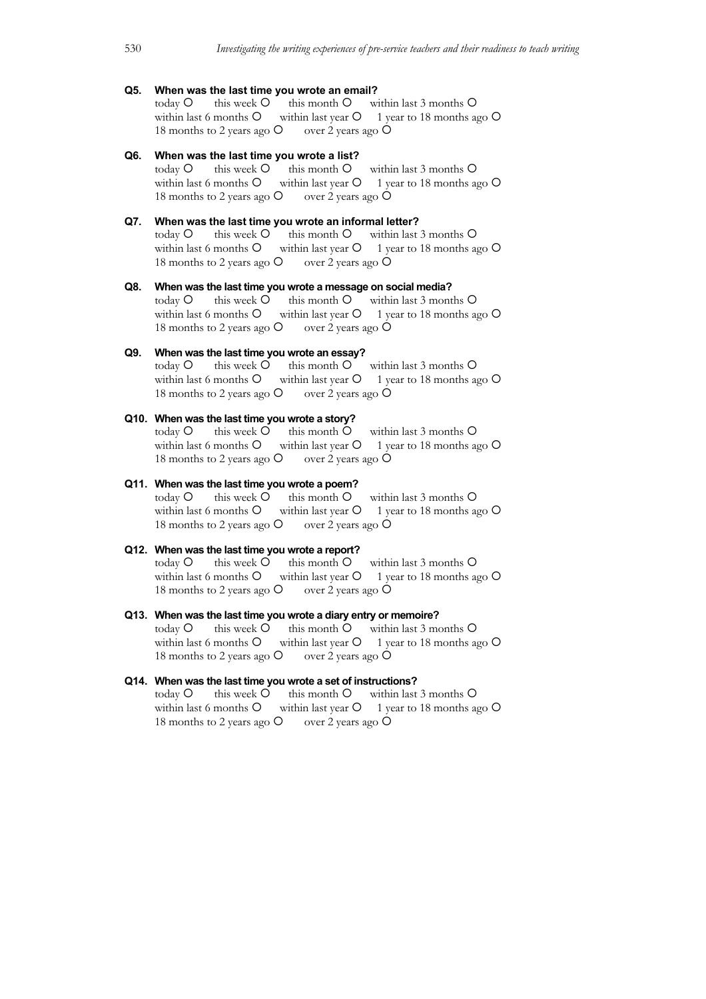## **Q5. When was the last time you wrote an email?**

today  $\circ$  this week  $\circ$  this month  $\circ$  within last 3 months  $\circ$ within last 6 months  $\circ$  within last year  $\circ$  1 year to 18 months ago  $\circ$ 18 months to 2 years ago  $\circ$  over 2 years ago  $\circ$ 

#### **Q6. When was the last time you wrote a list?**

today  $O$  this week  $O$  this month  $O$  within last 3 months  $O$ within last 6 months  $\circ$  within last year  $\circ$  1 year to 18 months ago  $\circ$ 18 months to 2 years ago  $\circ$  over 2 years ago  $\circ$ 

# **Q7. When was the last time you wrote an informal letter?**

today  $O$  this week  $O$  this month  $O$  within last 3 months  $O$ within last 6 months  $\circ$  within last year  $\circ$  1 year to 18 months ago  $\circ$ 18 months to 2 years ago  $\circ$  over 2 years ago  $\circ$ 

## **Q8. When was the last time you wrote a message on social media?** today  $O$  this week  $O$  this month  $O$  within last 3 months  $O$ within last 6 months  $\circ$  within last year  $\circ$  1 year to 18 months ago  $\circ$ 18 months to 2 years ago  $\circ$  over 2 years ago  $\circ$

**Q9. When was the last time you wrote an essay?**<br>today O this week O this month O within last 3 months O  $\text{today } O$  this week  $O$  this month  $O$ within last 6 months  $\circ$  within last year  $\circ$  1 year to 18 months ago  $\circ$ 18 months to 2 years ago  $\circ$  over 2 years ago  $\circ$ 

## **Q10. When was the last time you wrote a story?**

today  $O$  this week  $O$  this month  $O$  within last 3 months  $O$ within last 6 months  $O$  within last year  $O$  1 year to 18 months ago  $O$ 18 months to 2 years ago  $\circ$  over 2 years ago  $\circ$ 

#### **Q11. When was the last time you wrote a poem?**

today  $O$  this week  $O$  this month  $O$  within last 3 months  $O$ within last 6 months  $O$  within last year  $O$  1 year to 18 months ago  $O$ 18 months to 2 years ago  $\circ$  over 2 years ago  $\circ$ 

## **Q12. When was the last time you wrote a report?**

today  $O$  this week  $O$  this month  $O$  within last 3 months  $O$ within last 6 months  $\overline{O}$  within last year  $\overline{O}$  1 year to 18 months ago  $\overline{O}$ 18 months to 2 years ago  $\circ$  over 2 years ago  $\circ$ 

# **Q13. When was the last time you wrote a diary entry or memoire?**

today  $O$  this week  $O$  this month  $O$  within last 3 months  $O$ within last 6 months  $\circ$  within last year  $\circ$  1 year to 18 months ago  $\circ$ 18 months to 2 years ago  $\circ$  over 2 years ago  $\circ$ 

# **Q14. When was the last time you wrote a set of instructions?**

today  $O$  this week  $O$  this month  $O$  within last 3 months  $O$ within last 6 months  $\circ$  within last year  $\circ$  1 year to 18 months ago  $\circ$ 18 months to 2 years ago  $\circ$  over 2 years ago  $\circ$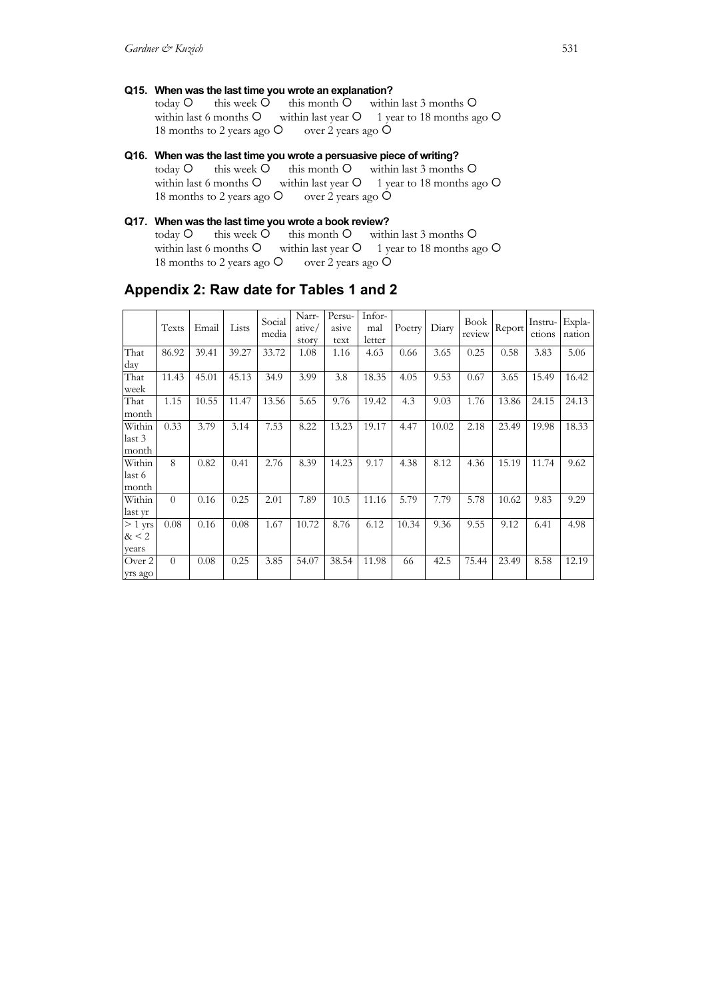**Q15. When was the last time you wrote an explanation?**

today  $O$  this week  $O$  this month  $O$  within last 3 months  $O$ within last 6 months  $O$  within last year  $O$  1 year to 18 months ago  $O$ 18 months to 2 years ago  $\overline{O}$  over 2 years ago  $\overline{O}$ 

- **Q16. When was the last time you wrote a persuasive piece of writing?** today  $O$  this week  $O$  this month  $O$  within last 3 months  $O$ within last 6 months  $O$  within last year  $O$  1 year to 18 months ago  $O$ 18 months to 2 years ago  $\circ$  over 2 years ago  $\circ$
- **Q17. When was the last time you wrote a book review?** today  $O$  this week  $O$  this month  $O$  within last 3 months  $O$  within last year  $O$  1 year to 18 months as within last year  $O$  1 year to 18 months ago  $O$ 18 months to 2 years ago  $\circ$  over 2 years ago  $\circ$

|                           | Texts    | Email | Lists | Social<br>media | Narr-<br>ative/<br>story | Persu-<br>asive<br>text | Infor-<br>mal<br>letter | Poetry | Diary | <b>Book</b><br>review | Report | Instru-<br>ctions | Expla-<br>nation |
|---------------------------|----------|-------|-------|-----------------|--------------------------|-------------------------|-------------------------|--------|-------|-----------------------|--------|-------------------|------------------|
| That<br>day               | 86.92    | 39.41 | 39.27 | 33.72           | 1.08                     | 1.16                    | 4.63                    | 0.66   | 3.65  | 0.25                  | 0.58   | 3.83              | 5.06             |
| That<br>week              | 11.43    | 45.01 | 45.13 | 34.9            | 3.99                     | 3.8                     | 18.35                   | 4.05   | 9.53  | 0.67                  | 3.65   | 15.49             | 16.42            |
| That<br>month             | 1.15     | 10.55 | 11.47 | 13.56           | 5.65                     | 9.76                    | 19.42                   | 4.3    | 9.03  | 1.76                  | 13.86  | 24.15             | 24.13            |
| Within<br>last 3<br>month | 0.33     | 3.79  | 3.14  | 7.53            | 8.22                     | 13.23                   | 19.17                   | 4.47   | 10.02 | 2.18                  | 23.49  | 19.98             | 18.33            |
| Within<br>last 6<br>month | 8        | 0.82  | 0.41  | 2.76            | 8.39                     | 14.23                   | 9.17                    | 4.38   | 8.12  | 4.36                  | 15.19  | 11.74             | 9.62             |
| Within<br>last yr         | $\Omega$ | 0.16  | 0.25  | 2.01            | 7.89                     | 10.5                    | 11.16                   | 5.79   | 7.79  | 5.78                  | 10.62  | 9.83              | 9.29             |
| $> 1$ yrs<br>& 2<br>years | 0.08     | 0.16  | 0.08  | 1.67            | 10.72                    | 8.76                    | 6.12                    | 10.34  | 9.36  | 9.55                  | 9.12   | 6.41              | 4.98             |
| Over 2<br>yrs ago         | $\Omega$ | 0.08  | 0.25  | 3.85            | 54.07                    | 38.54                   | 11.98                   | 66     | 42.5  | 75.44                 | 23.49  | 8.58              | 12.19            |

# **Appendix 2: Raw date for Tables 1 and 2**